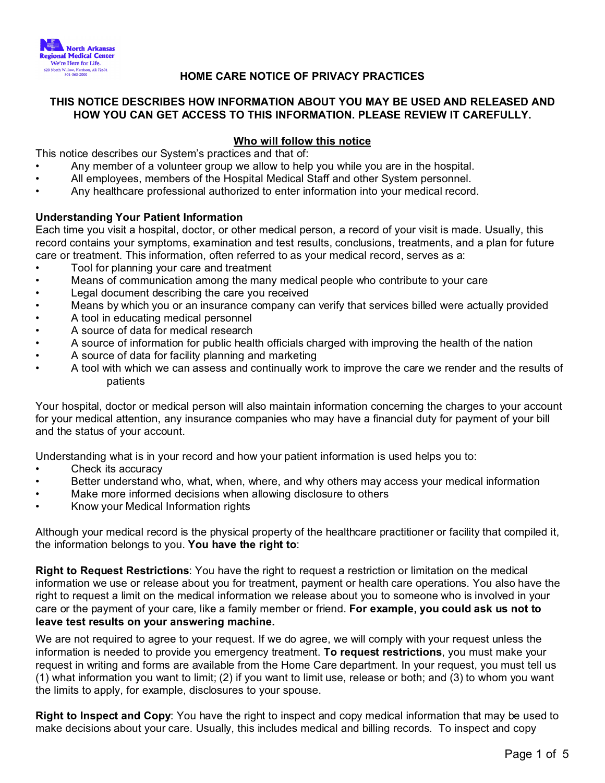

# **HOME CARE NOTICE OF PRIVACY PRACTICES**

## **THIS NOTICE DESCRIBES HOW INFORMATION ABOUT YOU MAY BE USED AND RELEASED AND HOW YOU CAN GET ACCESS TO THIS INFORMATION. PLEASE REVIEW IT CAREFULLY.**

## **Who will follow this notice**

This notice describes our System's practices and that of:

- Any member of a volunteer group we allow to help you while you are in the hospital.
- All employees, members of the Hospital Medical Staff and other System personnel.
- Any healthcare professional authorized to enter information into your medical record.

### **Understanding Your Patient Information**

Each time you visit a hospital, doctor, or other medical person, a record of your visit is made. Usually, this record contains your symptoms, examination and test results, conclusions, treatments, and a plan for future care or treatment. This information, often referred to as your medical record, serves as a:

- Tool for planning your care and treatment
- Means of communication among the many medical people who contribute to your care
- Legal document describing the care you received
- Means by which you or an insurance company can verify that services billed were actually provided
- A tool in educating medical personnel
- A source of data for medical research
- A source of information for public health officials charged with improving the health of the nation
- A source of data for facility planning and marketing
- A tool with which we can assess and continually work to improve the care we render and the results of patients

Your hospital, doctor or medical person will also maintain information concerning the charges to your account for your medical attention, any insurance companies who may have a financial duty for payment of your bill and the status of your account.

Understanding what is in your record and how your patient information is used helps you to:

- Check its accuracy
- Better understand who, what, when, where, and why others may access your medical information
- Make more informed decisions when allowing disclosure to others
- Know your Medical Information rights

Although your medical record is the physical property of the healthcare practitioner or facility that compiled it, the information belongs to you. **You have the right to**:

**Right to Request Restrictions**: You have the right to request a restriction or limitation on the medical information we use or release about you for treatment, payment or health care operations. You also have the right to request a limit on the medical information we release about you to someone who is involved in your care or the payment of your care, like a family member or friend. **For example, you could ask us not to leave test results on your answering machine.**

We are not required to agree to your request. If we do agree, we will comply with your request unless the information is needed to provide you emergency treatment. **To request restrictions**, you must make your request in writing and forms are available from the Home Care department. In your request, you must tell us (1) what information you want to limit; (2) if you want to limit use, release or both; and (3) to whom you want the limits to apply, for example, disclosures to your spouse.

**Right to Inspect and Copy**: You have the right to inspect and copy medical information that may be used to make decisions about your care. Usually, this includes medical and billing records. To inspect and copy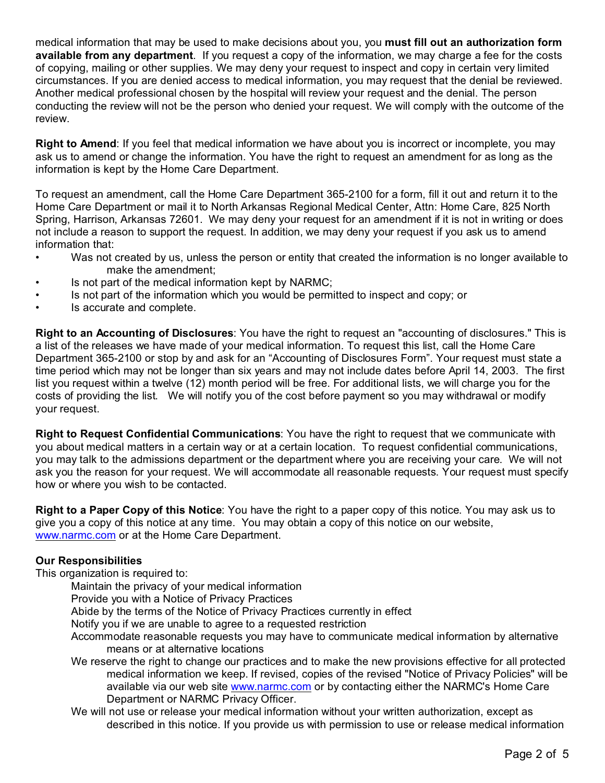medical information that may be used to make decisions about you, you **must fill out an authorization form available from any department**. If you request a copy of the information, we may charge a fee for the costs of copying, mailing or other supplies. We may deny your request to inspect and copy in certain very limited circumstances. If you are denied access to medical information, you may request that the denial be reviewed. Another medical professional chosen by the hospital will review your request and the denial. The person conducting the review will not be the person who denied your request. We will comply with the outcome of the review.

**Right to Amend**: If you feel that medical information we have about you is incorrect or incomplete, you may ask us to amend or change the information. You have the right to request an amendment for as long as the information is kept by the Home Care Department.

To request an amendment, call the Home Care Department 365-2100 for a form, fill it out and return it to the Home Care Department or mail it to North Arkansas Regional Medical Center, Attn: Home Care, 825 North Spring, Harrison, Arkansas 72601. We may deny your request for an amendment if it is not in writing or does not include a reason to support the request. In addition, we may deny your request if you ask us to amend information that:

- Was not created by us, unless the person or entity that created the information is no longer available to make the amendment;
- Is not part of the medical information kept by NARMC;
- Is not part of the information which you would be permitted to inspect and copy; or
- Is accurate and complete.

**Right to an Accounting of Disclosures**: You have the right to request an "accounting of disclosures." This is a list of the releases we have made of your medical information. To request this list, call the Home Care Department 365-2100 or stop by and ask for an "Accounting of Disclosures Form". Your request must state a time period which may not be longer than six years and may not include dates before April 14, 2003. The first list you request within a twelve (12) month period will be free. For additional lists, we will charge you for the costs of providing the list. We will notify you of the cost before payment so you may withdrawal or modify your request.

**Right to Request Confidential Communications**: You have the right to request that we communicate with you about medical matters in a certain way or at a certain location. To request confidential communications, you may talk to the admissions department or the department where you are receiving your care. We will not ask you the reason for your request. We will accommodate all reasonable requests. Your request must specify how or where you wish to be contacted.

**Right to a Paper Copy of this Notice**: You have the right to a paper copy of this notice. You may ask us to give you a copy of this notice at any time. You may obtain a copy of this notice on our website, [www.narmc.com](http://www.narmc.com) or at the Home Care Department.

### **Our Responsibilities**

This organization is required to:

Maintain the privacy of your medical information

Provide you with a Notice of Privacy Practices

- Abide by the terms of the Notice of Privacy Practices currently in effect
- Notify you if we are unable to agree to a requested restriction
- Accommodate reasonable requests you may have to communicate medical information by alternative means or at alternative locations
- We reserve the right to change our practices and to make the new provisions effective for all protected medical information we keep. If revised, copies of the revised "Notice of Privacy Policies" will be available via our web site [www.narmc.com](http://www.narmc.com) or by contacting either the NARMC's Home Care Department or NARMC Privacy Officer.
- We will not use or release your medical information without your written authorization, except as described in this notice. If you provide us with permission to use or release medical information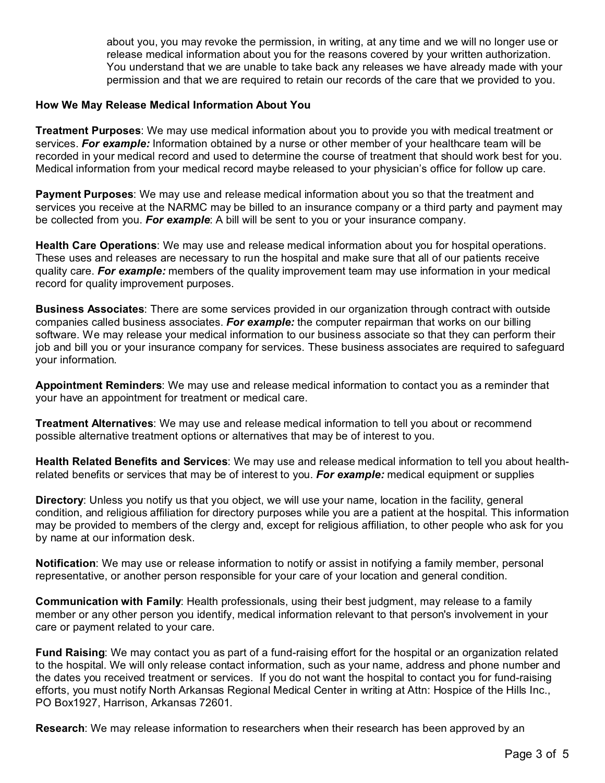about you, you may revoke the permission, in writing, at any time and we will no longer use or release medical information about you for the reasons covered by your written authorization. You understand that we are unable to take back any releases we have already made with your permission and that we are required to retain our records of the care that we provided to you.

#### **How We May Release Medical Information About You**

**Treatment Purposes**: We may use medical information about you to provide you with medical treatment or services. *For example:* Information obtained by a nurse or other member of your healthcare team will be recorded in your medical record and used to determine the course of treatment that should work best for you. Medical information from your medical record maybe released to your physician's office for follow up care.

**Payment Purposes**: We may use and release medical information about you so that the treatment and services you receive at the NARMC may be billed to an insurance company or a third party and payment may be collected from you. *For example*: A bill will be sent to you or your insurance company.

**Health Care Operations**: We may use and release medical information about you for hospital operations. These uses and releases are necessary to run the hospital and make sure that all of our patients receive quality care. *For example:* members of the quality improvement team may use information in your medical record for quality improvement purposes.

**Business Associates**: There are some services provided in our organization through contract with outside companies called business associates. *For example:* the computer repairman that works on our billing software. We may release your medical information to our business associate so that they can perform their job and bill you or your insurance company for services. These business associates are required to safeguard your information.

**Appointment Reminders**: We may use and release medical information to contact you as a reminder that your have an appointment for treatment or medical care.

**Treatment Alternatives**: We may use and release medical information to tell you about or recommend possible alternative treatment options or alternatives that may be of interest to you.

**Health Related Benefits and Services**: We may use and release medical information to tell you about healthrelated benefits or services that may be of interest to you. *For example:* medical equipment or supplies

**Directory**: Unless you notify us that you object, we will use your name, location in the facility, general condition, and religious affiliation for directory purposes while you are a patient at the hospital. This information may be provided to members of the clergy and, except for religious affiliation, to other people who ask for you by name at our information desk.

**Notification**: We may use or release information to notify or assist in notifying a family member, personal representative, or another person responsible for your care of your location and general condition.

**Communication with Family**: Health professionals, using their best judgment, may release to a family member or any other person you identify, medical information relevant to that person's involvement in your care or payment related to your care.

**Fund Raising**: We may contact you as part of a fund-raising effort for the hospital or an organization related to the hospital. We will only release contact information, such as your name, address and phone number and the dates you received treatment or services. If you do not want the hospital to contact you for fund-raising efforts, you must notify North Arkansas Regional Medical Center in writing at Attn: Hospice of the Hills Inc., PO Box1927, Harrison, Arkansas 72601.

**Research**: We may release information to researchers when their research has been approved by an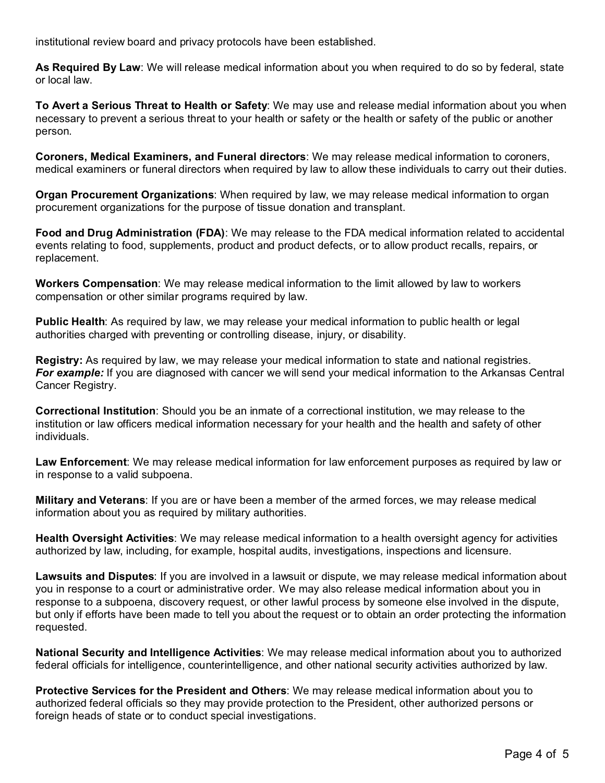institutional review board and privacy protocols have been established.

**As Required By Law**: We will release medical information about you when required to do so by federal, state or local law.

**To Avert a Serious Threat to Health or Safety**: We may use and release medial information about you when necessary to prevent a serious threat to your health or safety or the health or safety of the public or another person.

**Coroners, Medical Examiners, and Funeral directors**: We may release medical information to coroners, medical examiners or funeral directors when required by law to allow these individuals to carry out their duties.

**Organ Procurement Organizations**: When required by law, we may release medical information to organ procurement organizations for the purpose of tissue donation and transplant.

**Food and Drug Administration (FDA)**: We may release to the FDA medical information related to accidental events relating to food, supplements, product and product defects, or to allow product recalls, repairs, or replacement.

**Workers Compensation**: We may release medical information to the limit allowed by law to workers compensation or other similar programs required by law.

**Public Health**: As required by law, we may release your medical information to public health or legal authorities charged with preventing or controlling disease, injury, or disability.

**Registry:** As required by law, we may release your medical information to state and national registries. *For example:* If you are diagnosed with cancer we will send your medical information to the Arkansas Central Cancer Registry.

**Correctional Institution**: Should you be an inmate of a correctional institution, we may release to the institution or law officers medical information necessary for your health and the health and safety of other individuals.

**Law Enforcement**: We may release medical information for law enforcement purposes as required by law or in response to a valid subpoena.

**Military and Veterans**: If you are or have been a member of the armed forces, we may release medical information about you as required by military authorities.

**Health Oversight Activities**: We may release medical information to a health oversight agency for activities authorized by law, including, for example, hospital audits, investigations, inspections and licensure.

**Lawsuits and Disputes**: If you are involved in a lawsuit or dispute, we may release medical information about you in response to a court or administrative order. We may also release medical information about you in response to a subpoena, discovery request, or other lawful process by someone else involved in the dispute, but only if efforts have been made to tell you about the request or to obtain an order protecting the information requested.

**National Security and Intelligence Activities**: We may release medical information about you to authorized federal officials for intelligence, counterintelligence, and other national security activities authorized by law.

**Protective Services for the President and Others**: We may release medical information about you to authorized federal officials so they may provide protection to the President, other authorized persons or foreign heads of state or to conduct special investigations.